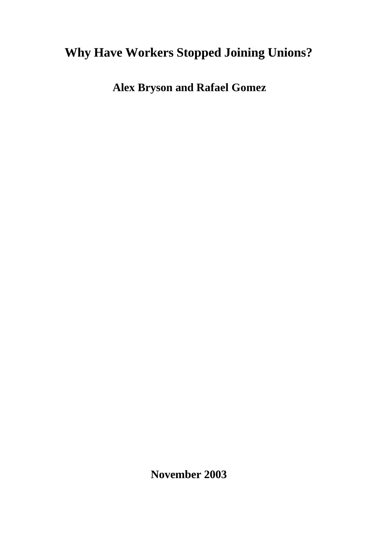# **Why Have Workers Stopped Joining Unions?**

**Alex Bryson and Rafael Gomez**

**November 2003**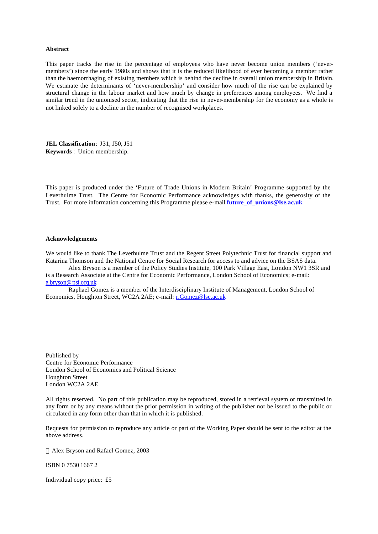#### **Abstract**

This paper tracks the rise in the percentage of employees who have never become union members ('nevermembers') since the early 1980s and shows that it is the reduced likelihood of ever becoming a member rather than the haemorrhaging of existing members which is behind the decline in overall union membership in Britain. We estimate the determinants of 'never-membership' and consider how much of the rise can be explained by structural change in the labour market and how much by change in preferences among employees. We find a similar trend in the unionised sector, indicating that the rise in never-membership for the economy as a whole is not linked solely to a decline in the number of recognised workplaces.

**JEL Classification**: J31, J50, J51 **Keywords** : Union membership.

This paper is produced under the 'Future of Trade Unions in Modern Britain' Programme supported by the Leverhulme Trust. The Centre for Economic Performance acknowledges with thanks, the generosity of the Trust. For more information concerning this Programme please e-mail **future\_of\_unions@lse.ac.uk**

#### **Acknowledgements**

We would like to thank The Leverhulme Trust and the Regent Street Polytechnic Trust for financial support and Katarina Thomson and the National Centre for Social Research for access to and advice on the BSAS data.

Alex Bryson is a member of the Policy Studies Institute, 100 Park Village East, London NW1 3SR and is a Research Associate at the Centre for Economic Performance, London School of Economics; e-mail: a.bryson@psi.org.uk

Raphael Gomez is a member of the Interdisciplinary Institute of Management, London School of Economics, Houghton Street, WC2A 2AE; e-mail: r.Gomez@lse.ac.uk

Published by Centre for Economic Performance London School of Economics and Political Science Houghton Street London WC2A 2AE

All rights reserved. No part of this publication may be reproduced, stored in a retrieval system or transmitted in any form or by any means without the prior permission in writing of the publisher nor be issued to the public or circulated in any form other than that in which it is published.

Requests for permission to reproduce any article or part of the Working Paper should be sent to the editor at the above address.

Alex Bryson and Rafael Gomez, 2003

ISBN 0 7530 1667 2

Individual copy price: £5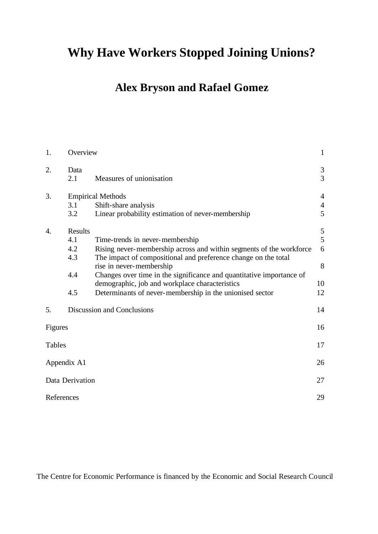# **Why Have Workers Stopped Joining Unions?**

# **Alex Bryson and Rafael Gomez**

| 1.      | Overview        |                                                                      | $\mathbf{1}$   |
|---------|-----------------|----------------------------------------------------------------------|----------------|
| 2.      | Data            |                                                                      | $\frac{3}{3}$  |
|         | 2.1             | Measures of unionisation                                             |                |
| 3.      |                 | <b>Empirical Methods</b>                                             | $\overline{4}$ |
|         | 3.1             | Shift-share analysis                                                 | $\overline{4}$ |
|         | 3.2             | Linear probability estimation of never-membership                    | 5              |
| 4.      | Results         |                                                                      | $\sqrt{5}$     |
|         | 4.1             | Time-trends in never-membership                                      | 5              |
|         | 4.2             | Rising never-membership across and within segments of the workforce  | 6              |
|         | 4.3             | The impact of compositional and preference change on the total       |                |
|         |                 | rise in never-membership                                             | 8              |
|         | 4.4             | Changes over time in the significance and quantitative importance of |                |
|         |                 | demographic, job and workplace characteristics                       | 10             |
|         | 4.5             | Determinants of never-membership in the unionised sector             | 12             |
| 5.      |                 | Discussion and Conclusions                                           | 14             |
| Figures |                 |                                                                      | 16             |
| Tables  |                 |                                                                      | 17             |
|         | Appendix A1     |                                                                      | 26             |
|         | Data Derivation |                                                                      | 27             |
|         | References      |                                                                      | 29             |

The Centre for Economic Performance is financed by the Economic and Social Research Council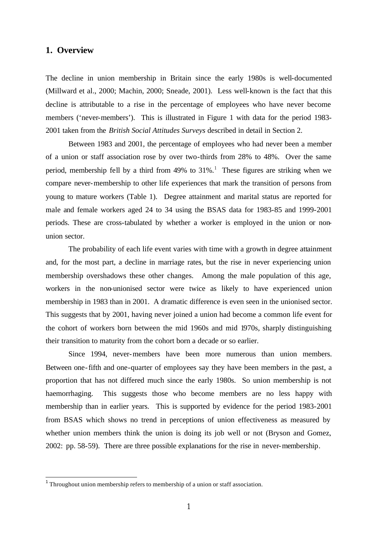## **1. Overview**

The decline in union membership in Britain since the early 1980s is well-documented (Millward et al., 2000; Machin, 2000; Sneade, 2001). Less well-known is the fact that this decline is attributable to a rise in the percentage of employees who have never become members ('never-members'). This is illustrated in Figure 1 with data for the period 1983- 2001 taken from the *British Social Attitudes Surveys* described in detail in Section 2.

Between 1983 and 2001, the percentage of employees who had never been a member of a union or staff association rose by over two-thirds from 28% to 48%. Over the same period, membership fell by a third from  $49\%$  to  $31\%$ .<sup>1</sup> These figures are striking when we compare never-membership to other life experiences that mark the transition of persons from young to mature workers (Table 1). Degree attainment and marital status are reported for male and female workers aged 24 to 34 using the BSAS data for 1983-85 and 1999-2001 periods. These are cross-tabulated by whether a worker is employed in the union or nonunion sector.

The probability of each life event varies with time with a growth in degree attainment and, for the most part, a decline in marriage rates, but the rise in never experiencing union membership overshadows these other changes. Among the male population of this age, workers in the non-unionised sector were twice as likely to have experienced union membership in 1983 than in 2001. A dramatic difference is even seen in the unionised sector. This suggests that by 2001, having never joined a union had become a common life event for the cohort of workers born between the mid 1960s and mid 1970s, sharply distinguishing their transition to maturity from the cohort born a decade or so earlier.

Since 1994, never-members have been more numerous than union members. Between one-fifth and one-quarter of employees say they have been members in the past, a proportion that has not differed much since the early 1980s. So union membership is not haemorrhaging. This suggests those who become members are no less happy with membership than in earlier years. This is supported by evidence for the period 1983-2001 from BSAS which shows no trend in perceptions of union effectiveness as measured by whether union members think the union is doing its job well or not (Bryson and Gomez, 2002: pp. 58-59). There are three possible explanations for the rise in never-membership.

 1 Throughout union membership refers to membership of a union or staff association.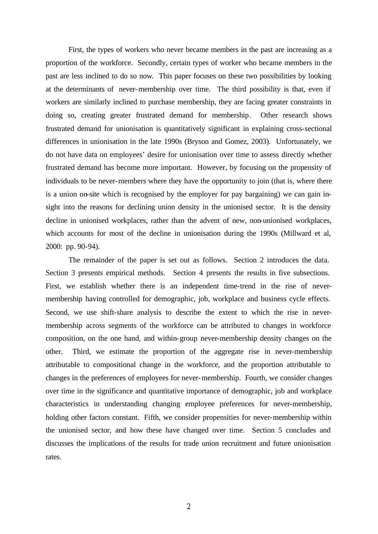First, the types of workers who never became members in the past are increasing as a proportion of the workforce. Secondly, certain types of worker who became members in the past are less inclined to do so now. This paper focuses on these two possibilities by looking at the determinants of never-membership over time. The third possibility is that, even if workers are similarly inclined to purchase membership, they are facing greater constraints in doing so, creating greater frustrated demand for membership. Other research shows frustrated demand for unionisation is quantitatively significant in explaining cross-sectional differences in unionisation in the late 1990s (Bryson and Gomez, 2003). Unfortunately, we do not have data on employees' desire for unionisation over time to assess directly whether frustrated demand has become more important. However, by focusing on the propensity of individuals to be never-members where they have the opportunity to join (that is, where there is a union on-site which is recognised by the employer for pay bargaining) we can gain insight into the reasons for declining union density in the unionised sector. It is the density decline in unionised workplaces, rather than the advent of new, non-unionised workplaces, which accounts for most of the decline in unionisation during the 1990s (Millward et al, 2000: pp. 90-94).

The remainder of the paper is set out as follows. Section 2 introduces the data. Section 3 presents empirical methods. Section 4 presents the results in five subsections. First, we establish whether there is an independent time-trend in the rise of nevermembership having controlled for demographic, job, workplace and business cycle effects. Second, we use shift-share analysis to describe the extent to which the rise in nevermembership across segments of the workforce can be attributed to changes in workforce composition, on the one hand, and within-group never-membership density changes on the other. Third, we estimate the proportion of the aggregate rise in never-membership attributable to compositional change in the workforce, and the proportion attributable to changes in the preferences of employees for never-membership. Fourth, we consider changes over time in the significance and quantitative importance of demographic, job and workplace characteristics in understanding changing employee preferences for never-membership, holding other factors constant. Fifth, we consider propensities for never-membership within the unionised sector, and how these have changed over time. Section 5 concludes and discusses the implications of the results for trade union recruitment and future unionisation rates.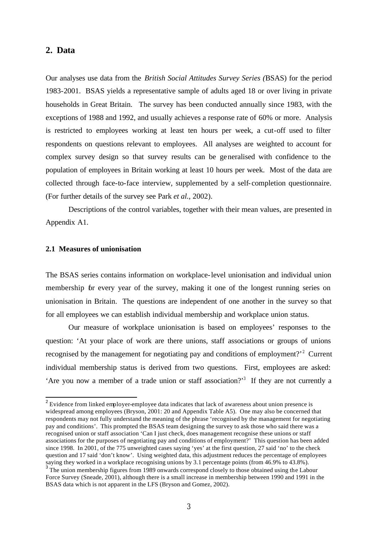## **2. Data**

Our analyses use data from the *British Social Attitudes Survey Series (*BSAS) for the period 1983-2001. BSAS yields a representative sample of adults aged 18 or over living in private households in Great Britain. The survey has been conducted annually since 1983, with the exceptions of 1988 and 1992, and usually achieves a response rate of 60% or more. Analysis is restricted to employees working at least ten hours per week, a cut-off used to filter respondents on questions relevant to employees. All analyses are weighted to account for complex survey design so that survey results can be generalised with confidence to the population of employees in Britain working at least 10 hours per week. Most of the data are collected through face-to-face interview, supplemented by a self-completion questionnaire. (For further details of the survey see Park *et al.*, 2002).

Descriptions of the control variables, together with their mean values, are presented in Appendix A1.

#### **2.1 Measures of unionisation**

The BSAS series contains information on workplace-level unionisation and individual union membership for every year of the survey, making it one of the longest running series on unionisation in Britain. The questions are independent of one another in the survey so that for all employees we can establish individual membership and workplace union status.

Our measure of workplace unionisation is based on employees' responses to the question: 'At your place of work are there unions, staff associations or groups of unions recognised by the management for negotiating pay and conditions of employment?<sup>2</sup> Current individual membership status is derived from two questions. First, employees are asked: 'Are you now a member of a trade union or staff association?'<sup>3</sup> If they are not currently a

<sup>&</sup>lt;sup>2</sup><br><sup>2</sup> Evidence from linked employer-employee data indicates that lack of awareness about union presence is widespread among employees (Bryson, 2001: 20 and Appendix Table A5). One may also be concerned that respondents may not fully understand the meaning of the phrase 'recognised by the management for negotiating pay and conditions'. This prompted the BSAS team designing the survey to ask those who said there was a recognised union or staff association 'Can I just check, does management recognise these unions or staff associations for the purposes of negotiating pay and conditions of employment?' This question has been added since 1998. In 2001, of the 775 unweighted cases saying 'yes' at the first question, 27 said 'no' to the check question and 17 said 'don't know'. Using weighted data, this adjustment reduces the percentage of employees saying they worked in a workplace recognising unions by 3.1 percentage points (from 46.9% to 43.8%).<br><sup>3</sup> The union membership figures from 1989 onwards correspond closely to those obtained using the Labour

Force Survey (Sneade, 2001), although there is a small increase in membership between 1990 and 1991 in the BSAS data which is not apparent in the LFS (Bryson and Gomez, 2002).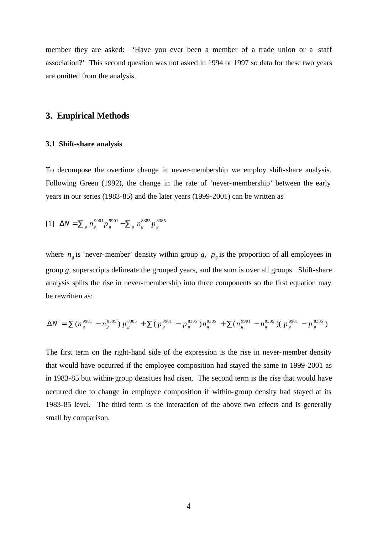member they are asked: 'Have you ever been a member of a trade union or a staff association?' This second question was not asked in 1994 or 1997 so data for these two years are omitted from the analysis.

#### **3. Empirical Methods**

#### **3.1 Shift-share analysis**

To decompose the overtime change in never-membership we employ shift-share analysis. Following Green (1992), the change in the rate of 'never-membership' between the early years in our series (1983-85) and the later years (1999-2001) can be written as

[1] 
$$
\Delta N = \sum_{g} n_g^{9901} p_g^{9901} - \sum_{g} n_g^{8385} p_g^{8385}
$$

where  $n_g$  is 'never-member' density within group *g*,  $p_g$  is the proportion of all employees in group *g*, superscripts delineate the grouped years, and the sum is over all groups. Shift-share analysis splits the rise in never-membership into three components so the first equation may be rewritten as:

$$
\Delta N = \sum (n_g^{9901} - n_g^{8385}) p_g^{8385} + \sum (p_g^{9901} - p_g^{8385}) n_g^{8385} + \sum (n_g^{9901} - n_g^{8385}) (p_g^{9901} - p_g^{8385})
$$

The first term on the right-hand side of the expression is the rise in never-member density that would have occurred if the employee composition had stayed the same in 1999-2001 as in 1983-85 but within-group densities had risen. The second term is the rise that would have occurred due to change in employee composition if within-group density had stayed at its 1983-85 level. The third term is the interaction of the above two effects and is generally small by comparison.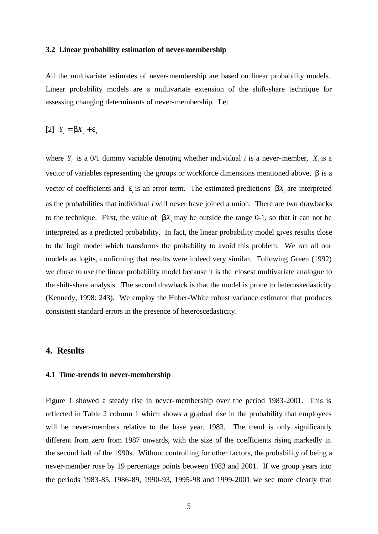#### **3.2 Linear probability estimation of never-membership**

All the multivariate estimates of never-membership are based on linear probability models. Linear probability models are a multivariate extension of the shift-share technique for assessing changing determinants of never-membership. Let

 $[Y_i = bX_i + e_i]$ 

where  $Y_i$  is a 0/1 dummy variable denoting whether individual *i* is a never-member,  $X_i$  is a vector of variables representing the groups or workforce dimensions mentioned above, *b* is a vector of coefficients and  $e_i$  is an error term. The estimated predictions  $bX_i$  are interpreted as the probabilities that individual *i* will never have joined a union. There are two drawbacks to the technique. First, the value of  $\mathbf{b}X_i$  may be outside the range 0-1, so that it can not be interpreted as a predicted probability. In fact, the linear probability model gives results close to the logit model which transforms the probability to avoid this problem. We ran all our models as logits, confirming that results were indeed very similar. Following Green (1992) we chose to use the linear probability model because it is the closest multivariate analogue to the shift-share analysis. The second drawback is that the model is prone to heteroskedasticity (Kennedy, 1998: 243). We employ the Huber-White robust variance estimator that produces consistent standard errors in the presence of heteroscedasticity.

### **4. Results**

#### **4.1 Time-trends in never-membership**

Figure 1 showed a steady rise in never-membership over the period 1983-2001. This is reflected in Table 2 column 1 which shows a gradual rise in the probability that employees will be never-members relative to the base year, 1983. The trend is only significantly different from zero from 1987 onwards, with the size of the coefficients rising markedly in the second half of the 1990s. Without controlling for other factors, the probability of being a never-member rose by 19 percentage points between 1983 and 2001. If we group years into the periods 1983-85, 1986-89, 1990-93, 1995-98 and 1999-2001 we see more clearly that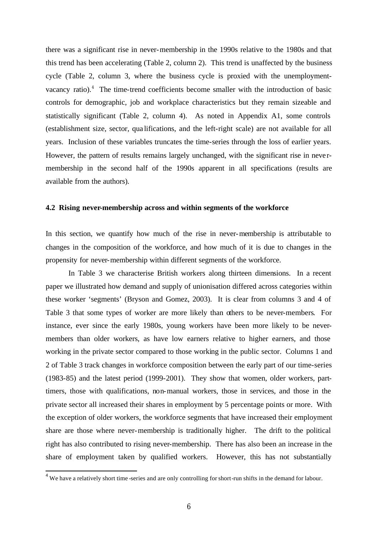there was a significant rise in never-membership in the 1990s relative to the 1980s and that this trend has been accelerating (Table 2, column 2). This trend is unaffected by the business cycle (Table 2, column 3, where the business cycle is proxied with the unemploymentvacancy ratio). $4$  The time-trend coefficients become smaller with the introduction of basic controls for demographic, job and workplace characteristics but they remain sizeable and statistically significant (Table 2, column 4). As noted in Appendix A1, some controls (establishment size, sector, qua lifications, and the left-right scale) are not available for all years. Inclusion of these variables truncates the time-series through the loss of earlier years. However, the pattern of results remains largely unchanged, with the significant rise in neve rmembership in the second half of the 1990s apparent in all specifications (results are available from the authors).

#### **4.2 Rising never-membership across and within segments of the workforce**

In this section, we quantify how much of the rise in never-membership is attributable to changes in the composition of the workforce, and how much of it is due to changes in the propensity for never-membership within different segments of the workforce.

In Table 3 we characterise British workers along thirteen dimensions. In a recent paper we illustrated how demand and supply of unionisation differed across categories within these worker 'segments' (Bryson and Gomez, 2003). It is clear from columns 3 and 4 of Table 3 that some types of worker are more likely than others to be never-members. For instance, ever since the early 1980s, young workers have been more likely to be nevermembers than older workers, as have low earners relative to higher earners, and those working in the private sector compared to those working in the public sector. Columns 1 and 2 of Table 3 track changes in workforce composition between the early part of our time-series (1983-85) and the latest period (1999-2001). They show that women, older workers, parttimers, those with qualifications, non-manual workers, those in services, and those in the private sector all increased their shares in employment by 5 percentage points or more. With the exception of older workers, the workforce segments that have increased their employment share are those where never-membership is traditionally higher. The drift to the political right has also contributed to rising never-membership. There has also been an increase in the share of employment taken by qualified workers. However, this has not substantially

<sup>&</sup>lt;sup>4</sup> We have a relatively short time-series and are only controlling for short-run shifts in the demand for labour.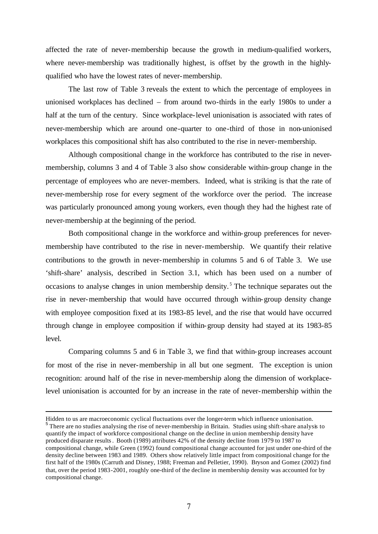affected the rate of never-membership because the growth in medium-qualified workers, where never-membership was traditionally highest, is offset by the growth in the highlyqualified who have the lowest rates of never-membership.

The last row of Table 3 reveals the extent to which the percentage of employees in unionised workplaces has declined – from around two-thirds in the early 1980s to under a half at the turn of the century. Since workplace-level unionisation is associated with rates of never-membership which are around one-quarter to one-third of those in non-unionised workplaces this compositional shift has also contributed to the rise in never-membership.

Although compositional change in the workforce has contributed to the rise in nevermembership, columns 3 and 4 of Table 3 also show considerable within-group change in the percentage of employees who are never-members. Indeed, what is striking is that the rate of never-membership rose for every segment of the workforce over the period. The increase was particularly pronounced among young workers, even though they had the highest rate of never-membership at the beginning of the period.

Both compositional change in the workforce and within-group preferences for nevermembership have contributed to the rise in never-membership. We quantify their relative contributions to the growth in never-membership in columns 5 and 6 of Table 3. We use 'shift-share' analysis, described in Section 3.1, which has been used on a number of occasions to analyse changes in union membership density.<sup>5</sup> The technique separates out the rise in never-membership that would have occurred through within-group density change with employee composition fixed at its 1983-85 level, and the rise that would have occurred through change in employee composition if within-group density had stayed at its 1983-85 level.

Comparing columns 5 and 6 in Table 3, we find that within-group increases account for most of the rise in never-membership in all but one segment. The exception is union recognition: around half of the rise in never-membership along the dimension of workplacelevel unionisation is accounted for by an increase in the rate of never-membership within the

 $\overline{a}$ 

Hidden to us are macroeconomic cyclical fluctuations over the longer-term which influence unionisation.

<sup>&</sup>lt;sup>5</sup> There are no studies analysing the rise of never-membership in Britain. Studies using shift-share analysis to quantify the impact of workforce compositional change on the decline in union membership density have produced disparate results. Booth (1989) attributes 42% of the density decline from 1979 to 1987 to compositional change, while Green (1992) found compositional change accounted for just under one-third of the density decline between 1983 and 1989. Others show relatively little impact from compositional change for the first half of the 1980s (Carruth and Disney, 1988; Freeman and Pelletier, 1990). Bryson and Gomez (2002) find that, over the period 1983-2001, roughly one-third of the decline in membership density was accounted for by compositional change.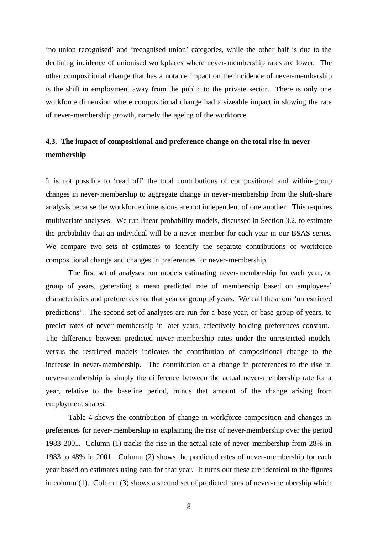'no union recognised' and 'recognised union' categories, while the other half is due to the declining incidence of unionised workplaces where never-membership rates are lower. The other compositional change that has a notable impact on the incidence of never-membership is the shift in employment away from the public to the private sector. There is only one workforce dimension where compositional change had a sizeable impact in slowing the rate of never-membership growth, namely the ageing of the workforce.

## **4.3. The impact of compositional and preference change on the total rise in nevermembership**

It is not possible to 'read off' the total contributions of compositional and within-group changes in never-membership to aggregate change in never-membership from the shift-share analysis because the workforce dimensions are not independent of one another. This requires multivariate analyses. We run linear probability models, discussed in Section 3.2, to estimate the probability that an individual will be a never-member for each year in our BSAS series. We compare two sets of estimates to identify the separate contributions of workforce compositional change and changes in preferences for never-membership.

The first set of analyses run models estimating never-membership for each year, or group of years, generating a mean predicted rate of membership based on employees' characteristics and preferences for that year or group of years. We call these our 'unrestricted predictions'. The second set of analyses are run for a base year, or base group of years, to predict rates of never-membership in later years, effectively holding preferences constant. The difference between predicted never-membership rates under the unrestricted models versus the restricted models indicates the contribution of compositional change to the increase in never-membership. The contribution of a change in preferences to the rise in never-membership is simply the difference between the actual never-membership rate for a year, relative to the baseline period, minus that amount of the change arising from employment shares.

Table 4 shows the contribution of change in workforce composition and changes in preferences for never-membership in explaining the rise of never-membership over the period 1983-2001. Column (1) tracks the rise in the actual rate of never-membership from 28% in 1983 to 48% in 2001. Column (2) shows the predicted rates of never-membership for each year based on estimates using data for that year. It turns out these are identical to the figures in column (1). Column (3) shows a second set of predicted rates of never-membership which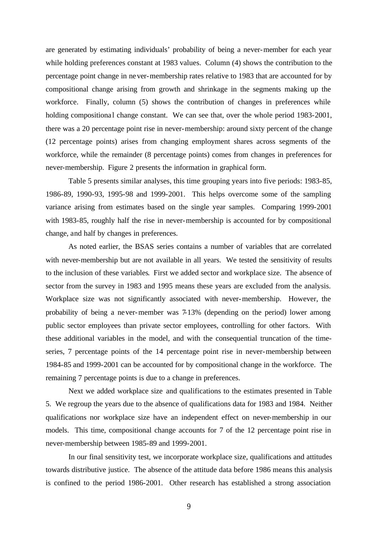are generated by estimating individuals' probability of being a never-member for each year while holding preferences constant at 1983 values. Column (4) shows the contribution to the percentage point change in never-membership rates relative to 1983 that are accounted for by compositional change arising from growth and shrinkage in the segments making up the workforce. Finally, column (5) shows the contribution of changes in preferences while holding compositional change constant. We can see that, over the whole period 1983-2001, there was a 20 percentage point rise in never-membership: around sixty percent of the change (12 percentage points) arises from changing employment shares across segments of the workforce, while the remainder (8 percentage points) comes from changes in preferences for never-membership. Figure 2 presents the information in graphical form.

Table 5 presents similar analyses, this time grouping years into five periods: 1983-85, 1986-89, 1990-93, 1995-98 and 1999-2001. This helps overcome some of the sampling variance arising from estimates based on the single year samples. Comparing 1999-2001 with 1983-85, roughly half the rise in never-membership is accounted for by compositional change, and half by changes in preferences.

As noted earlier, the BSAS series contains a number of variables that are correlated with never-membership but are not available in all years. We tested the sensitivity of results to the inclusion of these variables. First we added sector and workplace size. The absence of sector from the survey in 1983 and 1995 means these years are excluded from the analysis. Workplace size was not significantly associated with never-membership. However, the probability of being a never-member was 7-13% (depending on the period) lower among public sector employees than private sector employees, controlling for other factors. With these additional variables in the model, and with the consequential truncation of the timeseries, 7 percentage points of the 14 percentage point rise in never-membership between 1984-85 and 1999-2001 can be accounted for by compositional change in the workforce. The remaining 7 percentage points is due to a change in preferences.

Next we added workplace size and qualifications to the estimates presented in Table 5. We regroup the years due to the absence of qualifications data for 1983 and 1984. Neither qualifications nor workplace size have an independent effect on never-membership in our models. This time, compositional change accounts for 7 of the 12 percentage point rise in never-membership between 1985-89 and 1999-2001.

In our final sensitivity test, we incorporate workplace size, qualifications and attitudes towards distributive justice. The absence of the attitude data before 1986 means this analysis is confined to the period 1986-2001. Other research has established a strong association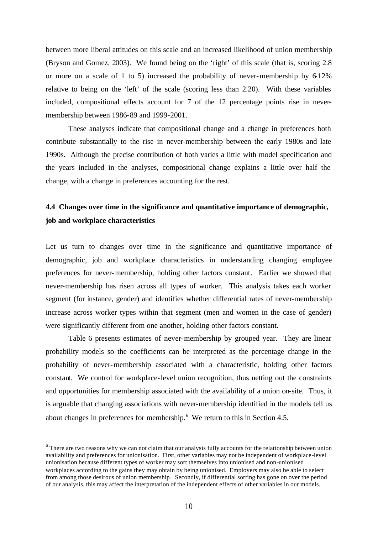between more liberal attitudes on this scale and an increased likelihood of union membership (Bryson and Gomez, 2003). We found being on the 'right' of this scale (that is, scoring 2.8 or more on a scale of 1 to 5) increased the probability of never-membership by 6-12% relative to being on the 'left' of the scale (scoring less than 2.20). With these variables included, compositional effects account for 7 of the 12 percentage points rise in nevermembership between 1986-89 and 1999-2001.

These analyses indicate that compositional change and a change in preferences both contribute substantially to the rise in never-membership between the early 1980s and late 1990s. Although the precise contribution of both varies a little with model specification and the years included in the analyses, compositional change explains a little over half the change, with a change in preferences accounting for the rest.

## **4.4 Changes over time in the significance and quantitative importance of demographic, job and workplace characteristics**

Let us turn to changes over time in the significance and quantitative importance of demographic, job and workplace characteristics in understanding changing employee preferences for never-membership, holding other factors constant. Earlier we showed that never-membership has risen across all types of worker. This analysis takes each worker segment (for instance, gender) and identifies whether differential rates of never-membership increase across worker types within that segment (men and women in the case of gender) were significantly different from one another, holding other factors constant.

Table 6 presents estimates of never-membership by grouped year. They are linear probability models so the coefficients can be interpreted as the percentage change in the probability of never-membership associated with a characteristic, holding other factors constant. We control for workplace-level union recognition, thus netting out the constraints and opportunities for membership associated with the availability of a union on-site. Thus, it is arguable that changing associations with never-membership identified in the models tell us about changes in preferences for membership. $6$  We return to this in Section 4.5.

<sup>&</sup>lt;sup>6</sup> There are two reasons why we can not claim that our analysis fully accounts for the relationship between union availability and preferences for unionisation. First, other variables may not be independent of workplace-level unionisation because different types of worker may sort themselves into unionised and non-unionised workplaces according to the gains they may obtain by being unionised. Employers may also be able to select from among those desirous of union membership. Secondly, if differential sorting has gone on over the period of our analysis, this may affect the interpretation of the independent effects of other variables in our models.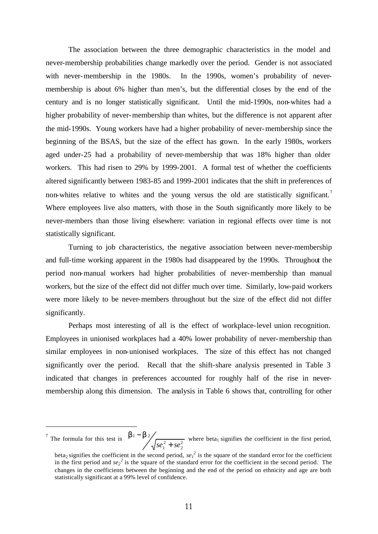The association between the three demographic characteristics in the model and never-membership probabilities change markedly over the period. Gender is not associated with never-membership in the 1980s. In the 1990s, women's probability of nevermembership is about 6% higher than men's, but the differential closes by the end of the century and is no longer statistically significant. Until the mid-1990s, non-whites had a higher probability of never-membership than whites, but the difference is not apparent after the mid-1990s. Young workers have had a higher probability of never-membership since the beginning of the BSAS, but the size of the effect has grown. In the early 1980s, workers aged under-25 had a probability of never-membership that was 18% higher than older workers. This had risen to 29% by 1999-2001. A formal test of whether the coefficients altered significantly between 1983-85 and 1999-2001 indicates that the shift in preferences of non-whites relative to whites and the young versus the old are statistically significant.<sup>7</sup> Where employees live also matters, with those in the South significantly more likely to be never-members than those living elsewhere: variation in regional effects over time is not statistically significant.

Turning to job characteristics, the negative association between never-membership and full-time working apparent in the 1980s had disappeared by the 1990s. Throughout the period non-manual workers had higher probabilities of never-membership than manual workers, but the size of the effect did not differ much over time. Similarly, low-paid workers were more likely to be never-members throughout but the size of the effect did not differ significantly.

Perhaps most interesting of all is the effect of workplace-level union recognition. Employees in unionised workplaces had a 40% lower probability of never-membership than similar employees in non-unionised workplaces. The size of this effect has not changed significantly over the period. Recall that the shift-share analysis presented in Table 3 indicated that changes in preferences accounted for roughly half of the rise in nevermembership along this dimension. The analysis in Table 6 shows that, controlling for other

 $\overline{a}$ 

<sup>&</sup>lt;sup>7</sup> The formula for this test is **D**<sup>1</sup> – **D**<sup>2</sup>/<sub>*c*-<sup>2</sup> + c<sup>-2</sup></sub> 2 2 1  $1 - D$  2  $se_1^2 + se$ **<sup>1</sup> − <b>***b*<sup>2</sup>  $\sqrt{\frac{2}{\sqrt{2}}}$  where beta<sub>1</sub> signifies the coefficient in the first period,

beta<sub>2</sub> signifies the coefficient in the second period,  $se<sub>i</sub><sup>2</sup>$  is the square of the standard error for the coefficient in the first period and  $se_2^2$  is the square of the standard error for the coefficient in the second period. The changes in the coefficients between the beginning and the end of the period on ethnicity and age are both statistically significant at a 99% level of confidence.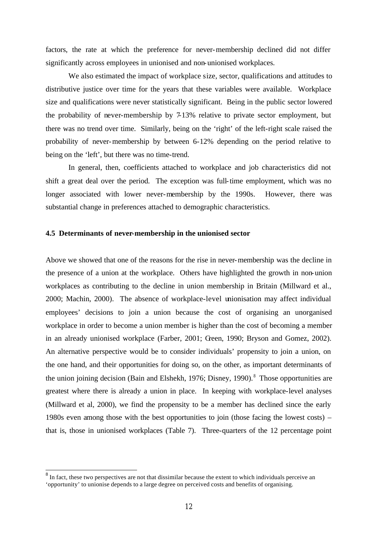factors, the rate at which the preference for never-membership declined did not differ significantly across employees in unionised and non-unionised workplaces.

We also estimated the impact of workplace size, sector, qualifications and attitudes to distributive justice over time for the years that these variables were available. Workplace size and qualifications were never statistically significant. Being in the public sector lowered the probability of never-membership by 7-13% relative to private sector employment, but there was no trend over time. Similarly, being on the 'right' of the left-right scale raised the probability of never-membership by between 6-12% depending on the period relative to being on the 'left', but there was no time-trend.

In general, then, coefficients attached to workplace and job characteristics did not shift a great deal over the period. The exception was full-time employment, which was no longer associated with lower never-membership by the 1990s. However, there was substantial change in preferences attached to demographic characteristics.

#### **4.5 Determinants of never-membership in the unionised sector**

Above we showed that one of the reasons for the rise in never-membership was the decline in the presence of a union at the workplace. Others have highlighted the growth in non-union workplaces as contributing to the decline in union membership in Britain (Millward et al., 2000; Machin, 2000). The absence of workplace-level unionisation may affect individual employees' decisions to join a union because the cost of organising an unorganised workplace in order to become a union member is higher than the cost of becoming a member in an already unionised workplace (Farber, 2001; Green, 1990; Bryson and Gomez, 2002). An alternative perspective would be to consider individuals' propensity to join a union, on the one hand, and their opportunities for doing so, on the other, as important determinants of the union joining decision (Bain and Elshekh, 1976; Disney, 1990). $^8$  Those opportunities are greatest where there is already a union in place. In keeping with workplace-level analyses (Millward et al, 2000), we find the propensity to be a member has declined since the early 1980s even among those with the best opportunities to join (those facing the lowest costs) – that is, those in unionised workplaces (Table 7). Three-quarters of the 12 percentage point

<sup>&</sup>lt;sup>8</sup> In fact, these two perspectives are not that dissimilar because the extent to which individuals perceive an <sup>8</sup> 'opportunity' to unionise depends to a large degree on perceived costs and benefits of organising.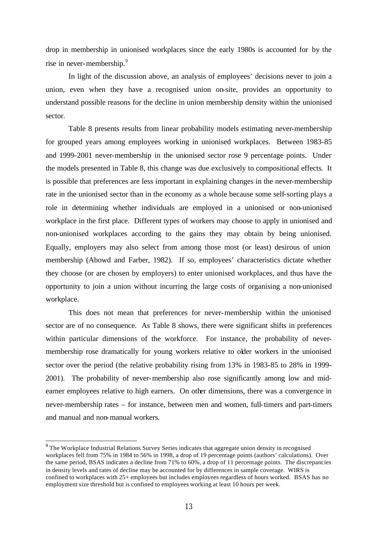drop in membership in unionised workplaces since the early 1980s is accounted for by the rise in never-membership.<sup>9</sup>

In light of the discussion above, an analysis of employees' decisions never to join a union, even when they have a recognised union on-site, provides an opportunity to understand possible reasons for the decline in union membership density within the unionised sector.

Table 8 presents results from linear probability models estimating never-membership for grouped years among employees working in unionised workplaces. Between 1983-85 and 1999-2001 never-membership in the unionised sector rose 9 percentage points. Under the models presented in Table 8, this change was due exclusively to compositional effects. It is possible that preferences are less important in explaining changes in the never-membership rate in the unionised sector than in the economy as a whole because some self-sorting plays a role in determining whether individuals are employed in a unionised or non-unionised workplace in the first place. Different types of workers may choose to apply in unionised and non-unionised workplaces according to the gains they may obtain by being unionised. Equally, employers may also select from among those most (or least) desirous of union membership (Abowd and Farber, 1982). If so, employees' characteristics dictate whether they choose (or are chosen by employers) to enter unionised workplaces, and thus have the opportunity to join a union without incurring the large costs of organising a non-unionised workplace.

This does not mean that preferences for never-membership within the unionised sector are of no consequence. As Table 8 shows, there were significant shifts in preferences within particular dimensions of the workforce. For instance, the probability of nevermembership rose dramatically for young workers relative to older workers in the unionised sector over the period (the relative probability rising from 13% in 1983-85 to 28% in 1999- 2001). The probability of never-membership also rose significantly among low and midearner employees relative to high earners. On other dimensions, there was a convergence in never-membership rates – for instance, between men and women, full-timers and part-timers and manual and non-manual workers.

<sup>&</sup>lt;sup>9</sup><br>The Workplace Industrial Relations Survey Series indicates that aggregate union density in recognised workplaces fell from 75% in 1984 to 56% in 1998, a drop of 19 percentage points (authors' calculations). Over the same period, BSAS indicates a decline from 71% to 60%, a drop of 11 percentage points. The discrepancies in density levels and rates of decline may be accounted for by differences in sample coverage. WIRS is confined to workplaces with 25+ employees but includes employees regardless of hours worked. BSAS has no employment size threshold but is confined to employees working at least 10 hours per week.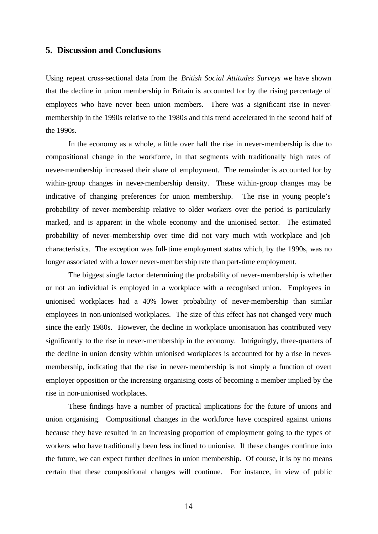## **5. Discussion and Conclusions**

Using repeat cross-sectional data from the *British Social Attitudes Surveys* we have shown that the decline in union membership in Britain is accounted for by the rising percentage of employees who have never been union members. There was a significant rise in nevermembership in the 1990s relative to the 1980s and this trend accelerated in the second half of the 1990s.

In the economy as a whole, a little over half the rise in never-membership is due to compositional change in the workforce, in that segments with traditionally high rates of never-membership increased their share of employment. The remainder is accounted for by within-group changes in never-membership density. These within-group changes may be indicative of changing preferences for union membership. The rise in young people's probability of never-membership relative to older workers over the period is particularly marked, and is apparent in the whole economy and the unionised sector. The estimated probability of never-membership over time did not vary much with workplace and job characteristics. The exception was full-time employment status which, by the 1990s, was no longer associated with a lower never-membership rate than part-time employment.

The biggest single factor determining the probability of never-membership is whether or not an individual is employed in a workplace with a recognised union. Employees in unionised workplaces had a 40% lower probability of never-membership than similar employees in non-unionised workplaces. The size of this effect has not changed very much since the early 1980s. However, the decline in workplace unionisation has contributed very significantly to the rise in never-membership in the economy. Intriguingly, three-quarters of the decline in union density within unionised workplaces is accounted for by a rise in nevermembership, indicating that the rise in never-membership is not simply a function of overt employer opposition or the increasing organising costs of becoming a member implied by the rise in non-unionised workplaces.

These findings have a number of practical implications for the future of unions and union organising. Compositional changes in the workforce have conspired against unions because they have resulted in an increasing proportion of employment going to the types of workers who have traditionally been less inclined to unionise. If these changes continue into the future, we can expect further declines in union membership. Of course, it is by no means certain that these compositional changes will continue. For instance, in view of public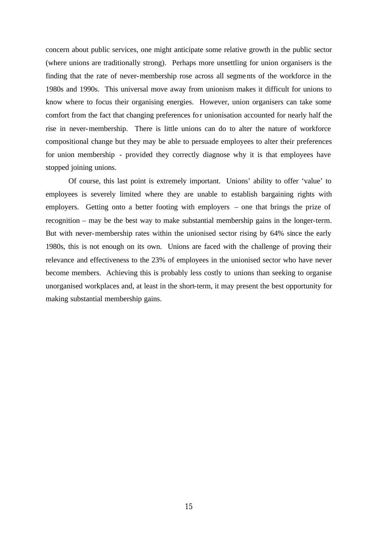concern about public services, one might anticipate some relative growth in the public sector (where unions are traditionally strong). Perhaps more unsettling for union organisers is the finding that the rate of never-membership rose across all segments of the workforce in the 1980s and 1990s. This universal move away from unionism makes it difficult for unions to know where to focus their organising energies. However, union organisers can take some comfort from the fact that changing preferences for unionisation accounted for nearly half the rise in never-membership. There is little unions can do to alter the nature of workforce compositional change but they may be able to persuade employees to alter their preferences for union membership - provided they correctly diagnose why it is that employees have stopped joining unions.

Of course, this last point is extremely important. Unions' ability to offer 'value' to employees is severely limited where they are unable to establish bargaining rights with employers. Getting onto a better footing with employers – one that brings the prize of recognition – may be the best way to make substantial membership gains in the longer-term. But with never-membership rates within the unionised sector rising by 64% since the early 1980s, this is not enough on its own. Unions are faced with the challenge of proving their relevance and effectiveness to the 23% of employees in the unionised sector who have never become members. Achieving this is probably less costly to unions than seeking to organise unorganised workplaces and, at least in the short-term, it may present the best opportunity for making substantial membership gains.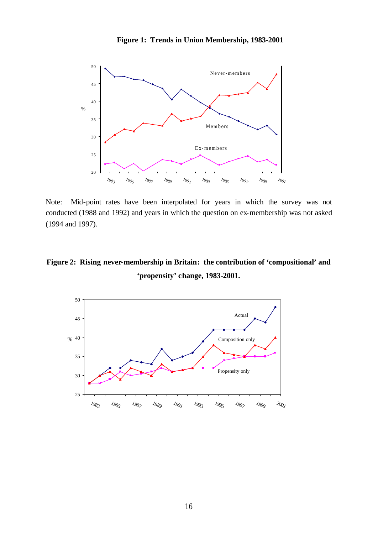



Note: Mid-point rates have been interpolated for years in which the survey was not conducted (1988 and 1992) and years in which the question on ex-membership was not asked (1994 and 1997).

# **Figure 2: Rising never-membership in Britain: the contribution of 'compositional' and 'propensity' change, 1983-2001.**

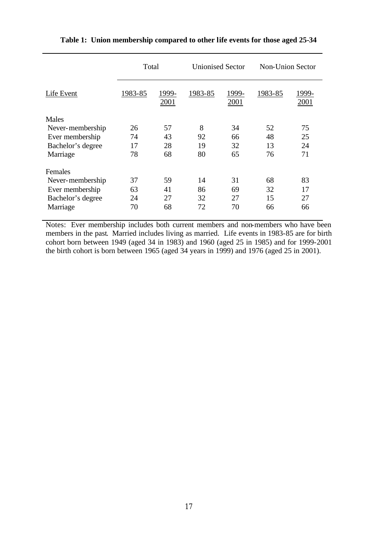|                   | Total   |               | <b>Unionised Sector</b> |               | <b>Non-Union Sector</b> |               |
|-------------------|---------|---------------|-------------------------|---------------|-------------------------|---------------|
| Life Event        | 1983-85 | 1999-<br>2001 | 1983-85                 | 1999-<br>2001 | 1983-85                 | 1999-<br>2001 |
| <b>Males</b>      |         |               |                         |               |                         |               |
| Never-membership  | 26      | 57            | 8                       | 34            | 52                      | 75            |
| Ever membership   | 74      | 43            | 92                      | 66            | 48                      | 25            |
| Bachelor's degree | 17      | 28            | 19                      | 32            | 13                      | 24            |
| Marriage          | 78      | 68            | 80                      | 65            | 76                      | 71            |
| Females           |         |               |                         |               |                         |               |
| Never-membership  | 37      | 59            | 14                      | 31            | 68                      | 83            |
| Ever membership   | 63      | 41            | 86                      | 69            | 32                      | 17            |
| Bachelor's degree | 24      | 27            | 32                      | 27            | 15                      | 27            |
| Marriage          | 70      | 68            | 72                      | 70            | 66                      | 66            |

|  |  | Table 1: Union membership compared to other life events for those aged 25-34 |  |  |  |  |  |
|--|--|------------------------------------------------------------------------------|--|--|--|--|--|
|--|--|------------------------------------------------------------------------------|--|--|--|--|--|

Notes: Ever membership includes both current members and non-members who have been members in the past. Married includes living as married. Life events in 1983-85 are for birth cohort born between 1949 (aged 34 in 1983) and 1960 (aged 25 in 1985) and for 1999-2001 the birth cohort is born between 1965 (aged 34 years in 1999) and 1976 (aged 25 in 2001).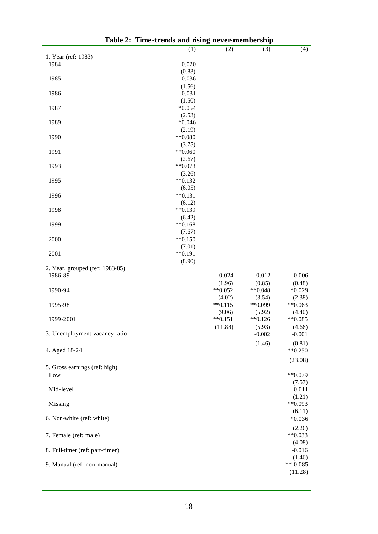| 1 avit 4.                       | Three themes and using never-inembersing |               |               |               |
|---------------------------------|------------------------------------------|---------------|---------------|---------------|
|                                 | (1)                                      | (2)           | (3)           | (4)           |
| 1. Year (ref: 1983)             |                                          |               |               |               |
| 1984                            | 0.020                                    |               |               |               |
|                                 |                                          |               |               |               |
|                                 | (0.83)                                   |               |               |               |
| 1985                            | 0.036                                    |               |               |               |
|                                 | (1.56)                                   |               |               |               |
| 1986                            | 0.031                                    |               |               |               |
|                                 | (1.50)                                   |               |               |               |
| 1987                            | $*0.054$                                 |               |               |               |
|                                 |                                          |               |               |               |
|                                 | (2.53)                                   |               |               |               |
| 1989                            | $*0.046$                                 |               |               |               |
|                                 | (2.19)                                   |               |               |               |
| 1990                            | $**0.080$                                |               |               |               |
|                                 | (3.75)                                   |               |               |               |
| 1991                            | $*$ $*0.060$                             |               |               |               |
|                                 |                                          |               |               |               |
|                                 | (2.67)                                   |               |               |               |
| 1993                            | $**0.073$                                |               |               |               |
|                                 | (3.26)                                   |               |               |               |
| 1995                            | $*$ $*$ 0.132                            |               |               |               |
|                                 | (6.05)                                   |               |               |               |
| 1996                            | $**0.131$                                |               |               |               |
|                                 |                                          |               |               |               |
|                                 | (6.12)                                   |               |               |               |
| 1998                            | $**0.139$                                |               |               |               |
|                                 | (6.42)                                   |               |               |               |
| 1999                            | $**0.168$                                |               |               |               |
|                                 | (7.67)                                   |               |               |               |
| 2000                            | $*$ $*0.150$                             |               |               |               |
|                                 |                                          |               |               |               |
|                                 | (7.01)                                   |               |               |               |
| 2001                            | $**0.191$                                |               |               |               |
|                                 | (8.90)                                   |               |               |               |
| 2. Year, grouped (ref: 1983-85) |                                          |               |               |               |
| 1986-89                         |                                          | 0.024         | 0.012         | 0.006         |
|                                 |                                          | (1.96)        | (0.85)        | (0.48)        |
|                                 |                                          |               |               |               |
| 1990-94                         |                                          | $*$ 0.052     | $**0.048$     | $*0.029$      |
|                                 |                                          | (4.02)        | (3.54)        | (2.38)        |
| 1995-98                         |                                          | $*$ $*$ 0.115 | **0.099       | $**0.063$     |
|                                 |                                          | (9.06)        | (5.92)        | (4.40)        |
| 1999-2001                       |                                          | $*$ $*0.151$  | $*$ $*$ 0.126 | $*$ *0.085    |
|                                 |                                          | (11.88)       | (5.93)        | (4.66)        |
|                                 |                                          |               |               |               |
| 3. Unemployment-vacancy ratio   |                                          |               | $-0.002$      | $-0.001$      |
|                                 |                                          |               | (1.46)        | (0.81)        |
| 4. Aged 18-24                   |                                          |               |               | $*$ $*0.250$  |
|                                 |                                          |               |               |               |
|                                 |                                          |               |               | (23.08)       |
| 5. Gross earnings (ref: high)   |                                          |               |               |               |
| Low                             |                                          |               |               | **0.079       |
|                                 |                                          |               |               | (7.57)        |
| Mid-level                       |                                          |               |               | 0.011         |
|                                 |                                          |               |               |               |
|                                 |                                          |               |               | (1.21)        |
| Missing                         |                                          |               |               | $*$ $*$ 0.093 |
|                                 |                                          |               |               | (6.11)        |
| 6. Non-white (ref: white)       |                                          |               |               | $*0.036$      |
|                                 |                                          |               |               |               |
|                                 |                                          |               |               | (2.26)        |
| 7. Female (ref: male)           |                                          |               |               | $*$ $*0.033$  |
|                                 |                                          |               |               | (4.08)        |
| 8. Full-timer (ref: part-timer) |                                          |               |               | $-0.016$      |
|                                 |                                          |               |               | (1.46)        |
| 9. Manual (ref: non-manual)     |                                          |               |               | $**-0.085$    |
|                                 |                                          |               |               |               |
|                                 |                                          |               |               | (11.28)       |

|  | Table 2: Time-trends and rising never-membership |
|--|--------------------------------------------------|
|  |                                                  |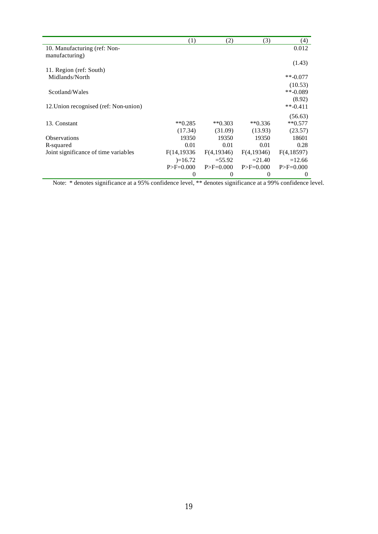|                                                | $\left(1\right)$ | (2)         | (3)           | (4)          |
|------------------------------------------------|------------------|-------------|---------------|--------------|
| 10. Manufacturing (ref: Non-<br>manufacturing) |                  |             |               | 0.012        |
|                                                |                  |             |               | (1.43)       |
| 11. Region (ref: South)                        |                  |             |               |              |
| Midlands/North                                 |                  |             |               | $**-0.077$   |
|                                                |                  |             |               | (10.53)      |
| Scotland/Wales                                 |                  |             |               | $*$ $-0.089$ |
|                                                |                  |             |               | (8.92)       |
| 12. Union recognised (ref: Non-union)          |                  |             |               | $**-0.411$   |
|                                                |                  |             |               | (56.63)      |
| 13. Constant                                   | $*$ $*$ 0.285    | $**0.303$   | $*$ $*$ 0.336 | $**0.577$    |
|                                                | (17.34)          | (31.09)     | (13.93)       | (23.57)      |
| <b>Observations</b>                            | 19350            | 19350       | 19350         | 18601        |
| R-squared                                      | 0.01             | 0.01        | 0.01          | 0.28         |
| Joint significance of time variables           | F(14,19336)      | F(4,19346)  | F(4,19346)    | F(4,18597)   |
|                                                | $)=16.72$        | $= 55.92$   | $= 21.40$     | $=12.66$     |
|                                                | $P>F=0.000$      | $P>F=0.000$ | $P>F=0.000$   | $P>F=0.000$  |
|                                                | 0                | $\Omega$    | $\Omega$      | $\theta$     |

Note: \* denotes significance at a 95% confidence level, \*\* denotes significance at a 99% confidence level.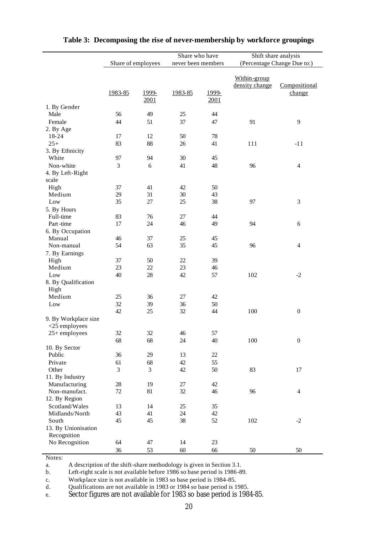|                                  |                      | Share who have |                    | Shift share analysis |                                |                          |  |
|----------------------------------|----------------------|----------------|--------------------|----------------------|--------------------------------|--------------------------|--|
|                                  | Share of employees   |                | never been members |                      | (Percentage Change Due to:)    |                          |  |
|                                  |                      |                |                    |                      | Within-group<br>density change | Compositional            |  |
|                                  | 1983-85              | 1999-<br>2001  | 1983-85            | 1999-<br>2001        |                                | change                   |  |
| 1. By Gender                     |                      |                |                    |                      |                                |                          |  |
| Male                             | 56                   | 49             | 25                 | 44                   |                                |                          |  |
| Female                           | 44                   | 51             | 37                 | 47                   | 91                             | 9                        |  |
| 2. By Age                        |                      |                |                    |                      |                                |                          |  |
| 18-24                            | 17                   | 12             | 50                 | 78                   |                                |                          |  |
| $25+$                            | 83                   | 88             | 26                 | 41                   | 111                            | $-11$                    |  |
| 3. By Ethnicity                  |                      |                |                    |                      |                                |                          |  |
| White                            | 97                   | 94             | 30                 | 45                   |                                |                          |  |
| Non-white                        | 3                    | 6              | 41                 | 48                   | 96                             | $\overline{\mathcal{A}}$ |  |
| 4. By Left-Right                 |                      |                |                    |                      |                                |                          |  |
| scale                            |                      |                |                    |                      |                                |                          |  |
| High                             | 37                   | 41             | 42                 | 50                   |                                |                          |  |
| Medium                           | 29                   | 31             | 30                 | 43                   |                                |                          |  |
| Low                              | 35                   | 27             | 25                 | 38                   | 97                             | 3                        |  |
| 5. By Hours                      |                      |                |                    |                      |                                |                          |  |
| Full-time                        | 83                   | 76             | 27                 | 44                   |                                |                          |  |
| Part-time                        | 17                   | 24             | 46                 | 49                   | 94                             | 6                        |  |
| 6. By Occupation                 |                      |                |                    |                      |                                |                          |  |
| Manual                           | 46                   | 37             | 25                 | 45                   |                                |                          |  |
| Non-manual                       | 54                   | 63             | 35                 | 45                   | 96                             | $\overline{4}$           |  |
| 7. By Earnings                   |                      |                |                    |                      |                                |                          |  |
| High                             | 37                   | 50             | 22                 | 39                   |                                |                          |  |
| Medium                           | 23                   | 22             | 23                 | 46                   |                                |                          |  |
| Low                              | 40                   | 28             | 42                 | 57                   | 102                            | $-2$                     |  |
| 8. By Qualification<br>High      |                      |                |                    |                      |                                |                          |  |
| Medium                           | 25                   | 36             | 27                 | 42                   |                                |                          |  |
| Low                              | 32                   | 39             | 36                 | 50                   |                                |                          |  |
|                                  | 42                   | 25             | 32                 | 44                   | 100                            | $\boldsymbol{0}$         |  |
| 9. By Workplace size             |                      |                |                    |                      |                                |                          |  |
| $<$ 25 employees                 |                      |                |                    |                      |                                |                          |  |
| $25+$ employees                  | 32                   | 32             | 46                 | 57                   |                                |                          |  |
|                                  | 68                   | 68             | 24                 | 40                   | 100                            | $\boldsymbol{0}$         |  |
| 10. By Sector                    |                      | 29             |                    | $22\,$               |                                |                          |  |
| Public                           | 36                   |                | 13<br>42           |                      |                                |                          |  |
| Private<br>Other                 | 61<br>$\mathfrak{Z}$ | 68<br>3        | 42                 | 55<br>$50\,$         | 83                             | 17                       |  |
|                                  |                      |                |                    |                      |                                |                          |  |
| 11. By Industry<br>Manufacturing | $28\,$               | 19             | $27\,$             | 42                   |                                |                          |  |
| Non-manufact.                    | $72\,$               | 81             | 32                 | 46                   | 96                             | $\overline{\mathcal{A}}$ |  |
| 12. By Region                    |                      |                |                    |                      |                                |                          |  |
|                                  |                      | 14             | 25                 | 35                   |                                |                          |  |
| Scotland/Wales<br>Midlands/North | 13<br>43             | 41             | 24                 | 42                   |                                |                          |  |
| South                            | 45                   | 45             | 38                 | 52                   | 102                            | $-2$                     |  |
| 13. By Unionisation              |                      |                |                    |                      |                                |                          |  |
| Recognition                      |                      |                |                    |                      |                                |                          |  |
| No Recognition                   | 64                   | 47             | 14                 | 23                   |                                |                          |  |
|                                  | 36                   | 53             | 60                 | 66                   | 50                             | 50                       |  |

## **Table 3: Decomposing the rise of never-membership by workforce groupings**

Notes:

a. A description of the shift-share methodology is given in Section 3.1.

b. Left-right scale is not available before 1986 so base period is 1986-89.

c. Workplace size is not available in 1983 so base period is 1984-85.

d. Qualifications are not available in 1983 or 1984 so base period is 1985.

e. Sector figures are not available for 1983 so base period is 1984-85.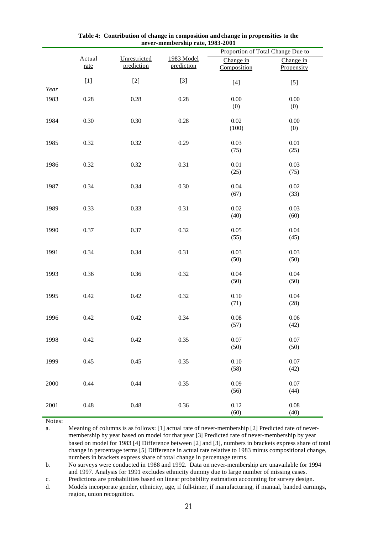|      |          |              |            | Proportion of Total Change Due to |            |
|------|----------|--------------|------------|-----------------------------------|------------|
|      | Actual   | Unrestricted | 1983 Model | Change in                         | Change in  |
|      | rate     | prediction   | prediction | Composition                       | Propensity |
|      | $[1]$    | $[2]$        | $[3]$      |                                   |            |
| Year |          |              |            | $[4]$                             | $[5]$      |
|      |          |              |            |                                   |            |
| 1983 | $0.28\,$ | 0.28         | 0.28       | $0.00\,$                          | $0.00\,$   |
|      |          |              |            | (0)                               | (0)        |
| 1984 | $0.30\,$ | $0.30\,$     | 0.28       | $0.02\,$                          | $0.00\,$   |
|      |          |              |            | (100)                             | (0)        |
|      |          |              |            |                                   |            |
| 1985 | 0.32     | 0.32         | 0.29       | 0.03                              | 0.01       |
|      |          |              |            | (75)                              | (25)       |
|      |          |              |            |                                   |            |
| 1986 | 0.32     | 0.32         | 0.31       | 0.01                              | 0.03       |
|      |          |              |            | (25)                              | (75)       |
| 1987 | 0.34     | 0.34         | 0.30       | 0.04                              | $0.02\,$   |
|      |          |              |            | (67)                              | (33)       |
|      |          |              |            |                                   |            |
| 1989 | 0.33     | 0.33         | 0.31       | $0.02\,$                          | 0.03       |
|      |          |              |            | (40)                              | (60)       |
|      |          |              |            |                                   |            |
| 1990 | 0.37     | 0.37         | 0.32       | 0.05                              | 0.04       |
|      |          |              |            | (55)                              | (45)       |
| 1991 | 0.34     | 0.34         | 0.31       | 0.03                              | 0.03       |
|      |          |              |            | (50)                              | (50)       |
|      |          |              |            |                                   |            |
| 1993 | 0.36     | 0.36         | 0.32       | 0.04                              | 0.04       |
|      |          |              |            | (50)                              | (50)       |
|      |          |              |            |                                   |            |
| 1995 | 0.42     | 0.42         | 0.32       | 0.10                              | 0.04       |
|      |          |              |            | (71)                              | (28)       |
| 1996 | 0.42     | 0.42         | 0.34       | 0.08                              | 0.06       |
|      |          |              |            | (57)                              | (42)       |
|      |          |              |            |                                   |            |
| 1998 | 0.42     | 0.42         | 0.35       | $0.07\,$                          | $0.07\,$   |
|      |          |              |            | (50)                              | (50)       |
|      |          |              |            |                                   |            |
| 1999 | 0.45     | 0.45         | 0.35       | $0.10\,$                          | $0.07\,$   |
|      |          |              |            | (58)                              | (42)       |
|      | 0.44     | 0.44         | 0.35       | 0.09                              | 0.07       |
| 2000 |          |              |            | (56)                              | (44)       |
|      |          |              |            |                                   |            |
| 2001 | $0.48\,$ | 0.48         | 0.36       | 0.12                              | 0.08       |
|      |          |              |            | (60)                              | (40)       |

**Table 4: Contribution of change in composition and change in propensities to the never-membership rate, 1983-2001**

Notes:

a. Meaning of columns is as follows: [1] actual rate of never-membership [2] Predicted rate of nevermembership by year based on model for that year [3] Predicted rate of never-membership by year based on model for 1983 [4] Difference between [2] and [3], numbers in brackets express share of total change in percentage terms [5] Difference in actual rate relative to 1983 minus compositional change, numbers in brackets express share of total change in percentage terms.

b. No surveys were conducted in 1988 and 1992. Data on never-membership are unavailable for 1994 and 1997. Analysis for 1991 excludes ethnicity dummy due to large number of missing cases.

c. Predictions are probabilities based on linear probability estimation accounting for survey design.

d. Models incorporate gender, ethnicity, age, if full-timer, if manufacturing, if manual, banded earnings, region, union recognition.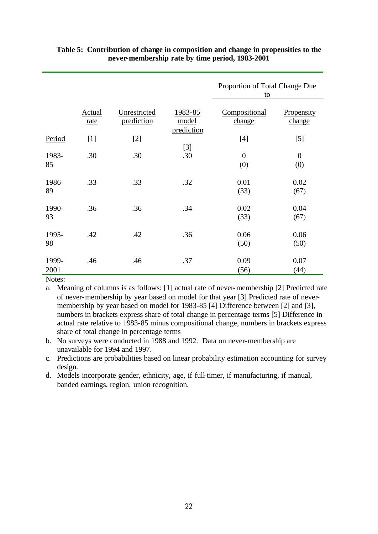|               |                |                            |                                | Proportion of Total Change Due<br>to |                         |  |
|---------------|----------------|----------------------------|--------------------------------|--------------------------------------|-------------------------|--|
|               | Actual<br>rate | Unrestricted<br>prediction | 1983-85<br>model<br>prediction | Compositional<br>change              | Propensity<br>change    |  |
| Period        | $[1]$          | $[2]$                      | $[3]$                          | $[4]$                                | $[5]$                   |  |
| 1983-<br>85   | .30            | .30                        | .30                            | $\overline{0}$<br>(0)                | $\boldsymbol{0}$<br>(0) |  |
| 1986-<br>89   | .33            | .33                        | .32                            | 0.01<br>(33)                         | 0.02<br>(67)            |  |
| 1990-<br>93   | .36            | .36                        | .34                            | 0.02<br>(33)                         | 0.04<br>(67)            |  |
| 1995-<br>98   | .42            | .42                        | .36                            | 0.06<br>(50)                         | 0.06<br>(50)            |  |
| 1999-<br>2001 | .46            | .46                        | .37                            | 0.09<br>(56)                         | 0.07<br>(44)            |  |

## **Table 5: Contribution of change in composition and change in propensities to the never-membership rate by time period, 1983-2001**

Notes:

a. Meaning of columns is as follows: [1] actual rate of never-membership [2] Predicted rate of never-membership by year based on model for that year [3] Predicted rate of nevermembership by year based on model for 1983-85 [4] Difference between [2] and [3], numbers in brackets express share of total change in percentage terms [5] Difference in actual rate relative to 1983-85 minus compositional change, numbers in brackets express share of total change in percentage terms

b. No surveys were conducted in 1988 and 1992. Data on never-membership are unavailable for 1994 and 1997.

c. Predictions are probabilities based on linear probability estimation accounting for survey design.

d. Models incorporate gender, ethnicity, age, if full-timer, if manufacturing, if manual, banded earnings, region, union recognition.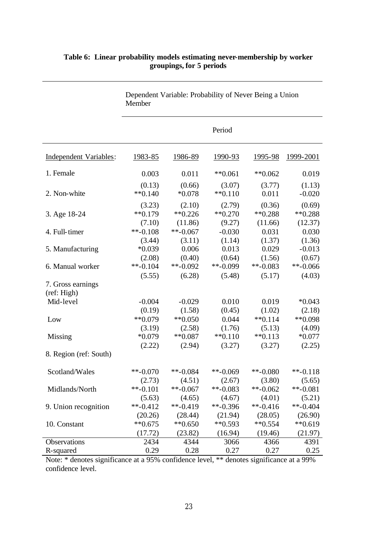|                                  | Dependent Variable: Probability of Never Being a Union<br>Member |                                 |                              |                            |                            |
|----------------------------------|------------------------------------------------------------------|---------------------------------|------------------------------|----------------------------|----------------------------|
|                                  |                                                                  |                                 | Period                       |                            |                            |
| Independent Variables:           | <u>1983-85</u>                                                   | 1986-89                         | 1990-93                      | 1995-98                    | 1999-2001                  |
| 1. Female                        | 0.003                                                            | 0.011                           | $**0.061$                    | $**0.062$                  | 0.019                      |
| 2. Non-white                     | (0.13)<br>$**0.140$                                              | (0.66)<br>$*0.078$              | (3.07)<br>$**0.110$          | (3.77)<br>0.011            | (1.13)<br>$-0.020$         |
| 3. Age 18-24                     | (3.23)<br>$**0.179$                                              | (2.10)<br>$*$ $*0.226$          | (2.79)<br>$**0.270$          | (0.36)<br>$**0.288$        | (0.69)<br>$**0.288$        |
| 4. Full-timer                    | (7.10)<br>$**-0.108$<br>(3.44)                                   | (11.86)<br>$**-0.067$<br>(3.11) | (9.27)<br>$-0.030$<br>(1.14) | (11.66)<br>0.031<br>(1.37) | (12.37)<br>0.030<br>(1.36) |
| 5. Manufacturing                 | $*0.039$<br>(2.08)                                               | 0.006<br>(0.40)                 | 0.013<br>(0.64)              | 0.029<br>(1.56)            | $-0.013$<br>(0.67)         |
| 6. Manual worker                 | $**-0.104$<br>(5.55)                                             | $**-0.092$<br>(6.28)            | $**-0.099$<br>(5.48)         | $**-0.083$<br>(5.17)       | $**-0.066$<br>(4.03)       |
| 7. Gross earnings<br>(ref: High) |                                                                  |                                 |                              |                            |                            |
| Mid-level                        | $-0.004$<br>(0.19)                                               | $-0.029$<br>(1.58)              | 0.010<br>(0.45)              | 0.019<br>(1.02)            | $*0.043$<br>(2.18)         |
| Low                              | $**0.079$<br>(3.19)                                              | $**0.050$<br>(2.58)             | 0.044<br>(1.76)              | $**0.114$<br>(5.13)        | **0.098<br>(4.09)          |
| Missing                          | $*0.079$<br>(2.22)                                               | $**0.087$<br>(2.94)             | $*$ $*$ 0.110<br>(3.27)      | $**0.113$<br>(3.27)        | $*0.077$<br>(2.25)         |
| 8. Region (ref: South)           |                                                                  |                                 |                              |                            |                            |
| Scotland/Wales                   | $**-0.070$<br>(2.73)                                             | $**-0.084$<br>(4.51)            | $***-0.069$<br>(2.67)        | $**-0.080$<br>(3.80)       | $**-0.118$<br>(5.65)       |
| Midlands/North                   | $**-0.101$                                                       | $**-0.067$                      | $**-0.083$                   | $**-0.062$                 | $**-0.081$                 |
|                                  | (5.63)                                                           | (4.65)                          | (4.67)                       | (4.01)                     | (5.21)                     |
| 9. Union recognition             | $**-0.412$                                                       | $**-0.419$                      | $**-0.396$                   | $**-0.416$                 | $**-0.404$                 |
|                                  | (20.26)                                                          | (28.44)                         | (21.94)                      | (28.05)                    | (26.90)                    |
| 10. Constant                     | $**0.675$                                                        | $*$ *0.650                      | $**0.593$                    | $*$ $*0.554$               | $*$ $*0.619$               |
|                                  | (17.72)                                                          | (23.82)                         | (16.94)                      | (19.46)                    | (21.97)                    |
| Observations                     | 2434                                                             | 4344                            | 3066                         | 4366                       | 4391                       |
| R-squared                        | 0.29                                                             | 0.28                            | 0.27                         | 0.27                       | 0.25                       |

## **Table 6: Linear probability models estimating never-membership by worker groupings, for 5 periods**

Note: \* denotes significance at a 95% confidence level, \*\* denotes significance at a 99% confidence level.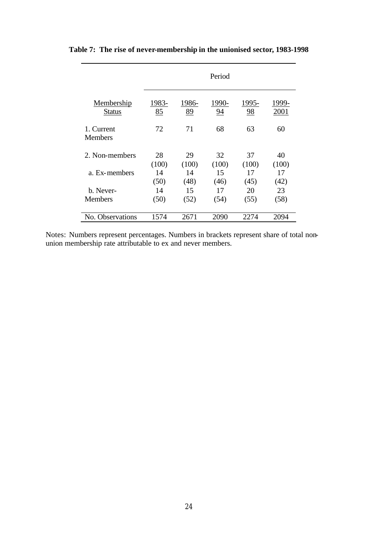|                              | Period      |             |             |             |               |  |
|------------------------------|-------------|-------------|-------------|-------------|---------------|--|
| Membership<br><b>Status</b>  | 1983-<br>85 | 1986-<br>89 | 1990-<br>94 | 1995-<br>98 | 1999-<br>2001 |  |
| 1. Current<br><b>Members</b> | 72          | 71          | 68          | 63          | 60            |  |
| 2. Non-members               | 28<br>(100) | 29<br>(100) | 32<br>(100) | 37<br>(100) | 40<br>(100)   |  |
| a. Ex-members                | 14<br>(50)  | 14<br>(48)  | 15<br>(46)  | 17<br>(45)  | 17<br>(42)    |  |
| b. Never-                    | 14          | 15          | 17          | 20          | 23            |  |
| <b>Members</b>               | (50)        | (52)        | (54)        | (55)        | (58)          |  |
| No. Observations             | 1574        | 2671        | 2090        | 2274        | 2094          |  |

**Table 7: The rise of never-membership in the unionised sector, 1983-1998**

Notes: Numbers represent percentages. Numbers in brackets represent share of total nonunion membership rate attributable to ex and never members.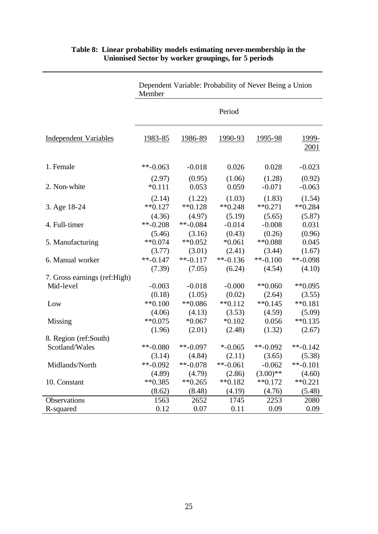|                               | Dependent Variable: Probability of Never Being a Union<br>Member |                                |                                |                                |                                |
|-------------------------------|------------------------------------------------------------------|--------------------------------|--------------------------------|--------------------------------|--------------------------------|
|                               |                                                                  |                                | Period                         |                                |                                |
| <b>Independent Variables</b>  | <u>1983-85</u>                                                   | 1986-89                        | 1990-93                        | <u>1995-98</u>                 | <u>1999-</u><br>2001           |
| 1. Female                     | $**-0.063$                                                       | $-0.018$                       | 0.026                          | 0.028                          | $-0.023$                       |
| 2. Non-white                  | (2.97)<br>$*0.111$                                               | (0.95)<br>0.053                | (1.06)<br>0.059                | (1.28)<br>$-0.071$             | (0.92)<br>$-0.063$             |
| 3. Age 18-24                  | (2.14)<br>$**0.127$                                              | (1.22)<br>$**0.128$            | (1.03)<br>$*$ $*0.248$         | (1.83)<br>$**0.271$            | (1.54)<br>$**0.284$            |
| 4. Full-timer                 | (4.36)<br>$**-0.208$                                             | (4.97)<br>$**-0.084$           | (5.19)<br>$-0.014$             | (5.65)<br>$-0.008$             | (5.87)<br>0.031                |
| 5. Manufacturing              | (5.46)<br>$**0.074$                                              | (3.16)<br>$*$ *0.052           | (0.43)<br>$*0.061$             | (0.26)<br>$**0.088$            | (0.96)<br>0.045                |
| 6. Manual worker              | (3.77)<br>$**-0.147$<br>(7.39)                                   | (3.01)<br>$*$ -0.117<br>(7.05) | (2.41)<br>$**-0.136$<br>(6.24) | (3.44)<br>$**-0.100$<br>(4.54) | (1.67)<br>$**-0.098$<br>(4.10) |
| 7. Gross earnings (ref: High) |                                                                  |                                |                                |                                |                                |
| Mid-level                     | $-0.003$<br>(0.18)                                               | $-0.018$<br>(1.05)             | $-0.000$<br>(0.02)             | $**0.060$<br>(2.64)            | $**0.095$<br>(3.55)            |
| Low                           | $*$ $*$ 0.100                                                    | $*$ $*0.086$                   | $*$ $*$ 0.112                  | $**0.145$                      | $**0.181$                      |
| Missing                       | (4.06)<br>$**0.075$                                              | (4.13)<br>$*0.067$             | (3.53)<br>$*0.102$             | (4.59)<br>0.056                | (5.09)<br>$**0.135$            |
| 8. Region (ref:South)         | (1.96)                                                           | (2.01)                         | (2.48)                         | (1.32)                         | (2.67)                         |
| Scotland/Wales                | $**-0.080$                                                       | $***-0.097$                    | $* -0.065$                     | $**-0.092$                     | $**-0.142$                     |
|                               | (3.14)                                                           | (4.84)                         | (2.11)                         | (3.65)                         | (5.38)                         |
| Midlands/North                | $**-0.092$                                                       | $**-0.078$                     | $**-0.061$                     | $-0.062$                       | $**-0.101$                     |
|                               | (4.89)                                                           | (4.79)                         | (2.86)                         | $(3.00)$ **                    | (4.60)                         |
| 10. Constant                  | $*$ $*0.385$                                                     | $*$ $*0.265$                   | $*$ $*$ 0.182                  | $*$ $*$ 0.172                  | $**0.221$                      |
|                               | (8.62)                                                           | (8.48)                         | (4.19)                         | (4.76)                         | (5.48)                         |
| Observations                  | 1563                                                             | 2652                           | 1745                           | 2253                           | 2080                           |
| R-squared                     | 0.12                                                             | 0.07                           | 0.11                           | 0.09                           | 0.09                           |

## **Table 8: Linear probability models estimating never-membership in the Unionised Sector by worker groupings, for 5 periods**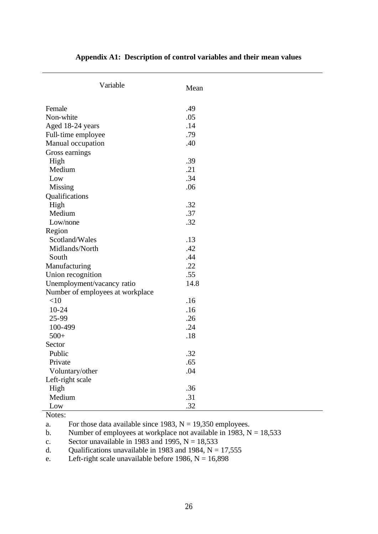| Variable                         | Mean |
|----------------------------------|------|
| Female                           | .49  |
| Non-white                        | .05  |
| Aged 18-24 years                 | .14  |
| Full-time employee               | .79  |
| Manual occupation                | .40  |
| Gross earnings                   |      |
| High                             | .39  |
| Medium                           | .21  |
| Low                              | .34  |
| Missing                          | .06  |
| Qualifications                   |      |
| High                             | .32  |
| Medium                           | .37  |
| Low/none                         | .32  |
| Region                           |      |
| Scotland/Wales                   | .13  |
| Midlands/North                   | .42  |
| South                            | .44  |
| Manufacturing                    | .22  |
| Union recognition                | .55  |
| Unemployment/vacancy ratio       | 14.8 |
| Number of employees at workplace |      |
| <10                              | .16  |
| $10 - 24$                        | .16  |
| 25-99                            | .26  |
| 100-499                          | .24  |
| $500+$                           | .18  |
| Sector                           |      |
| Public                           | .32  |
| Private                          | .65  |
| Voluntary/other                  | .04  |
| Left-right scale                 |      |
| High                             | .36  |
| Medium                           | .31  |
| Low                              | .32  |

### **Appendix A1: Description of control variables and their mean values**

Notes:

a. For those data available since 1983,  $N = 19,350$  employees.

b. Number of employees at workplace not available in 1983,  $N = 18,533$ 

c. Sector unavailable in 1983 and 1995,  $N = 18,533$ 

d. Qualifications unavailable in 1983 and 1984,  $N = 17,555$ 

e. Left-right scale unavailable before 1986,  $N = 16,898$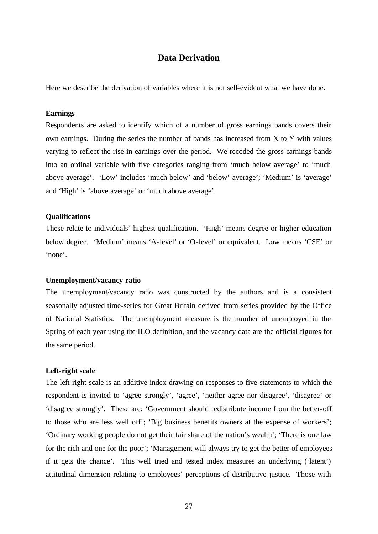## **Data Derivation**

Here we describe the derivation of variables where it is not self-evident what we have done.

#### **Earnings**

Respondents are asked to identify which of a number of gross earnings bands covers their own earnings. During the series the number of bands has increased from X to Y with values varying to reflect the rise in earnings over the period. We recoded the gross earnings bands into an ordinal variable with five categories ranging from 'much below average' to 'much above average'. 'Low' includes 'much below' and 'below' average'; 'Medium' is 'average' and 'High' is 'above average' or 'much above average'.

#### **Qualifications**

These relate to individuals' highest qualification. 'High' means degree or higher education below degree. 'Medium' means 'A-level' or 'O-level' or equivalent. Low means 'CSE' or 'none'.

#### **Unemployment/vacancy ratio**

The unemployment/vacancy ratio was constructed by the authors and is a consistent seasonally adjusted time-series for Great Britain derived from series provided by the Office of National Statistics. The unemployment measure is the number of unemployed in the Spring of each year using the ILO definition, and the vacancy data are the official figures for the same period.

### **Left-right scale**

The left-right scale is an additive index drawing on responses to five statements to which the respondent is invited to 'agree strongly', 'agree', 'neither agree nor disagree', 'disagree' or 'disagree strongly'. These are: 'Government should redistribute income from the better-off to those who are less well off'; 'Big business benefits owners at the expense of workers'; 'Ordinary working people do not get their fair share of the nation's wealth'; 'There is one law for the rich and one for the poor'; 'Management will always try to get the better of employees if it gets the chance'. This well tried and tested index measures an underlying ('latent') attitudinal dimension relating to employees' perceptions of distributive justice. Those with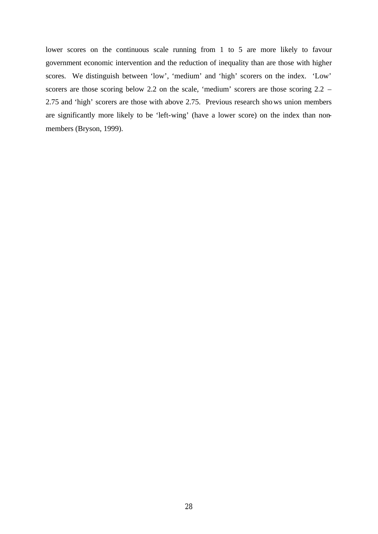lower scores on the continuous scale running from 1 to 5 are more likely to favour government economic intervention and the reduction of inequality than are those with higher scores. We distinguish between 'low', 'medium' and 'high' scorers on the index. 'Low' scorers are those scoring below 2.2 on the scale, 'medium' scorers are those scoring 2.2 – 2.75 and 'high' scorers are those with above 2.75. Previous research shows union members are significantly more likely to be 'left-wing' (have a lower score) on the index than nonmembers (Bryson, 1999).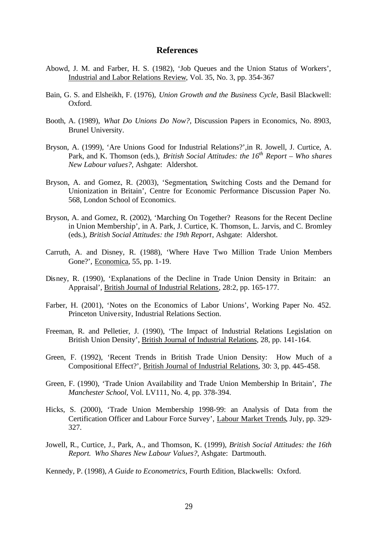#### **References**

- Abowd, J. M. and Farber, H. S. (1982), 'Job Queues and the Union Status of Workers', Industrial and Labor Relations Review, Vol. 35, No. 3, pp. 354-367
- Bain, G. S. and Elsheikh, F. (1976), *Union Growth and the Business Cycle*, Basil Blackwell: Oxford.
- Booth, A. (1989), *What Do Unions Do Now?*, Discussion Papers in Economics, No. 8903, Brunel University.
- Bryson, A. (1999), 'Are Unions Good for Industrial Relations?',in R. Jowell, J. Curtice, A. Park, and K. Thomson (eds.), *British Social Attitudes: the 16th Report – Who shares New Labour values?*, Ashgate: Aldershot.
- Bryson, A. and Gomez, R. (2003), 'Segmentation, Switching Costs and the Demand for Unionization in Britain', Centre for Economic Performance Discussion Paper No. 568, London School of Economics.
- Bryson, A. and Gomez, R. (2002), 'Marching On Together? Reasons for the Recent Decline in Union Membership', in A. Park, J. Curtice, K. Thomson, L. Jarvis, and C. Bromley (eds.), *British Social Attitudes: the 19th Report*, Ashgate: Aldershot.
- Carruth, A. and Disney, R. (1988), 'Where Have Two Million Trade Union Members Gone?', Economica, 55, pp. 1-19.
- Disney, R. (1990), 'Explanations of the Decline in Trade Union Density in Britain: an Appraisal', British Journal of Industrial Relations, 28:2, pp. 165-177.
- Farber, H. (2001), 'Notes on the Economics of Labor Unions', Working Paper No. 452. Princeton University, Industrial Relations Section.
- Freeman, R. and Pelletier, J. (1990), 'The Impact of Industrial Relations Legislation on British Union Density', British Journal of Industrial Relations, 28, pp. 141-164.
- Green, F. (1992), 'Recent Trends in British Trade Union Density: How Much of a Compositional Effect?', British Journal of Industrial Relations, 30: 3, pp. 445-458.
- Green, F. (1990), 'Trade Union Availability and Trade Union Membership In Britain', *The Manchester School*, Vol. LV111, No. 4, pp. 378-394.
- Hicks, S. (2000), 'Trade Union Membership 1998-99: an Analysis of Data from the Certification Officer and Labour Force Survey', Labour Market Trends, July, pp. 329- 327.
- Jowell, R., Curtice, J., Park, A., and Thomson, K. (1999), *British Social Attitudes: the 16th Report. Who Shares New Labour Values?*, Ashgate: Dartmouth.

Kennedy, P. (1998), *A Guide to Econometrics*, Fourth Edition, Blackwells: Oxford.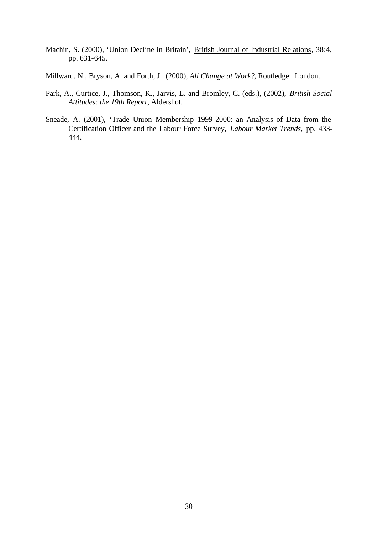- Machin, S. (2000), 'Union Decline in Britain', British Journal of Industrial Relations, 38:4, pp. 631-645.
- Millward, N., Bryson, A. and Forth, J. (2000), *All Change at Work?*, Routledge: London.
- Park, A., Curtice, J., Thomson, K., Jarvis, L. and Bromley, C. (eds.), (2002), *British Social Attitudes: the 19th Report*, Aldershot.
- Sneade, A. (2001), 'Trade Union Membership 1999-2000: an Analysis of Data from the Certification Officer and the Labour Force Survey, *Labour Market Trends,* pp. 433- 444.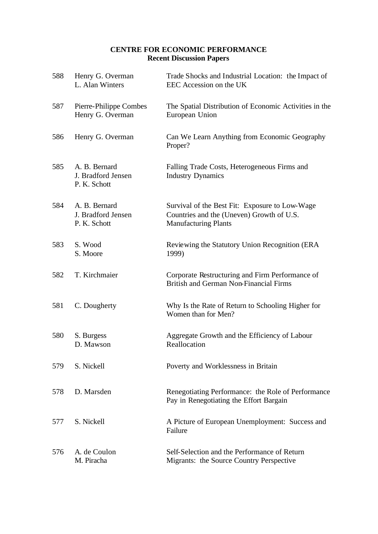## **CENTRE FOR ECONOMIC PERFORMANCE Recent Discussion Papers**

| 588 | Henry G. Overman<br>L. Alan Winters                 | Trade Shocks and Industrial Location: the Impact of<br>EEC Accession on the UK                                             |
|-----|-----------------------------------------------------|----------------------------------------------------------------------------------------------------------------------------|
| 587 | Pierre-Philippe Combes<br>Henry G. Overman          | The Spatial Distribution of Economic Activities in the<br>European Union                                                   |
| 586 | Henry G. Overman                                    | Can We Learn Anything from Economic Geography<br>Proper?                                                                   |
| 585 | A. B. Bernard<br>J. Bradford Jensen<br>P. K. Schott | Falling Trade Costs, Heterogeneous Firms and<br><b>Industry Dynamics</b>                                                   |
| 584 | A. B. Bernard<br>J. Bradford Jensen<br>P. K. Schott | Survival of the Best Fit: Exposure to Low-Wage<br>Countries and the (Uneven) Growth of U.S.<br><b>Manufacturing Plants</b> |
| 583 | S. Wood<br>S. Moore                                 | Reviewing the Statutory Union Recognition (ERA)<br>1999)                                                                   |
| 582 | T. Kirchmaier                                       | Corporate Restructuring and Firm Performance of<br><b>British and German Non-Financial Firms</b>                           |
| 581 | C. Dougherty                                        | Why Is the Rate of Return to Schooling Higher for<br>Women than for Men?                                                   |
| 580 | S. Burgess<br>D. Mawson                             | Aggregate Growth and the Efficiency of Labour<br>Reallocation                                                              |
| 579 | S. Nickell                                          | Poverty and Worklessness in Britain                                                                                        |
| 578 | D. Marsden                                          | Renegotiating Performance: the Role of Performance<br>Pay in Renegotiating the Effort Bargain                              |
| 577 | S. Nickell                                          | A Picture of European Unemployment: Success and<br>Failure                                                                 |
| 576 | A. de Coulon<br>M. Piracha                          | Self-Selection and the Performance of Return<br>Migrants: the Source Country Perspective                                   |